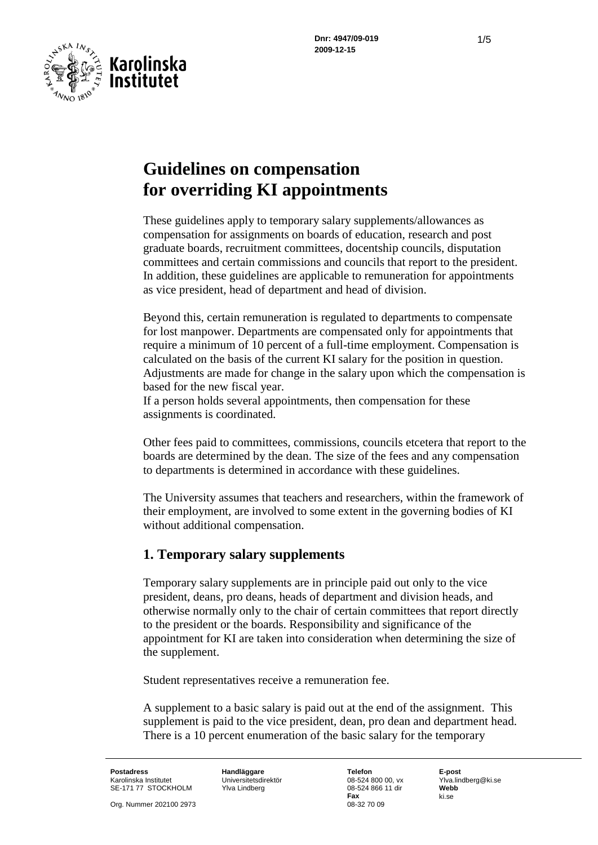

# **Guidelines on compensation for overriding KI appointments**

These guidelines apply to temporary salary supplements/allowances as compensation for assignments on boards of education, research and post graduate boards, recruitment committees, docentship councils, disputation committees and certain commissions and councils that report to the president. In addition, these guidelines are applicable to remuneration for appointments as vice president, head of department and head of division.

Beyond this, certain remuneration is regulated to departments to compensate for lost manpower. Departments are compensated only for appointments that require a minimum of 10 percent of a full-time employment. Compensation is calculated on the basis of the current KI salary for the position in question. Adjustments are made for change in the salary upon which the compensation is based for the new fiscal year.

If a person holds several appointments, then compensation for these assignments is coordinated.

Other fees paid to committees, commissions, councils etcetera that report to the boards are determined by the dean. The size of the fees and any compensation to departments is determined in accordance with these guidelines.

The University assumes that teachers and researchers, within the framework of their employment, are involved to some extent in the governing bodies of KI without additional compensation.

#### **1. Temporary salary supplements**

Temporary salary supplements are in principle paid out only to the vice president, deans, pro deans, heads of department and division heads, and otherwise normally only to the chair of certain committees that report directly to the president or the boards. Responsibility and significance of the appointment for KI are taken into consideration when determining the size of the supplement.

Student representatives receive a remuneration fee.

A supplement to a basic salary is paid out at the end of the assignment. This supplement is paid to the vice president, dean, pro dean and department head. There is a 10 percent enumeration of the basic salary for the temporary

**Postadress Handläggare Telefon E-post** Karolinska Institutet Universitetsdirektör 08-524 800 00, vx Ylva.lindberg@ki.se SE-171 77 STOCKHOLM Ylva Lindberg

Org. Nummer 202100 2973

**Fax** ki.se<br>08-32.70.09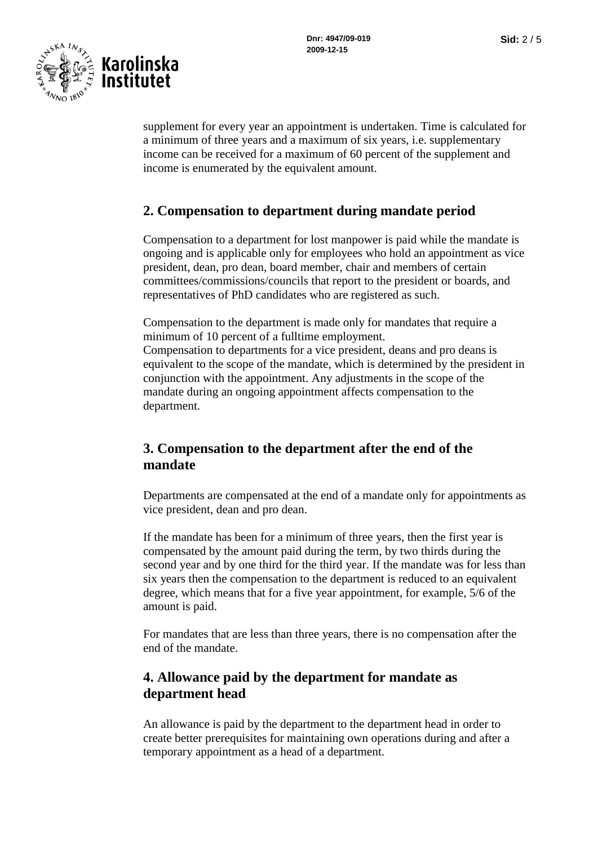

supplement for every year an appointment is undertaken. Time is calculated for a minimum of three years and a maximum of six years, i.e. supplementary income can be received for a maximum of 60 percent of the supplement and income is enumerated by the equivalent amount.

## **2. Compensation to department during mandate period**

Compensation to a department for lost manpower is paid while the mandate is ongoing and is applicable only for employees who hold an appointment as vice president, dean, pro dean, board member, chair and members of certain committees/commissions/councils that report to the president or boards, and representatives of PhD candidates who are registered as such.

Compensation to the department is made only for mandates that require a minimum of 10 percent of a fulltime employment. Compensation to departments for a vice president, deans and pro deans is equivalent to the scope of the mandate, which is determined by the president in conjunction with the appointment. Any adjustments in the scope of the mandate during an ongoing appointment affects compensation to the department.

## **3. Compensation to the department after the end of the mandate**

Departments are compensated at the end of a mandate only for appointments as vice president, dean and pro dean.

If the mandate has been for a minimum of three years, then the first year is compensated by the amount paid during the term, by two thirds during the second year and by one third for the third year. If the mandate was for less than six years then the compensation to the department is reduced to an equivalent degree, which means that for a five year appointment, for example, 5/6 of the amount is paid.

For mandates that are less than three years, there is no compensation after the end of the mandate.

## **4. Allowance paid by the department for mandate as department head**

An allowance is paid by the department to the department head in order to create better prerequisites for maintaining own operations during and after a temporary appointment as a head of a department.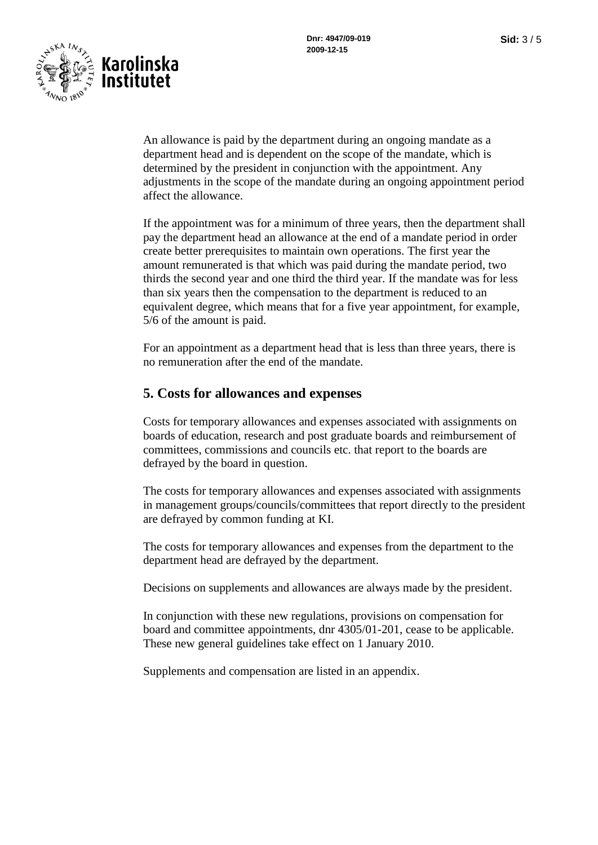

An allowance is paid by the department during an ongoing mandate as a department head and is dependent on the scope of the mandate, which is determined by the president in conjunction with the appointment. Any adjustments in the scope of the mandate during an ongoing appointment period affect the allowance.

If the appointment was for a minimum of three years, then the department shall pay the department head an allowance at the end of a mandate period in order create better prerequisites to maintain own operations. The first year the amount remunerated is that which was paid during the mandate period, two thirds the second year and one third the third year. If the mandate was for less than six years then the compensation to the department is reduced to an equivalent degree, which means that for a five year appointment, for example, 5/6 of the amount is paid.

For an appointment as a department head that is less than three years, there is no remuneration after the end of the mandate.

#### **5. Costs for allowances and expenses**

Costs for temporary allowances and expenses associated with assignments on boards of education, research and post graduate boards and reimbursement of committees, commissions and councils etc. that report to the boards are defrayed by the board in question.

The costs for temporary allowances and expenses associated with assignments in management groups/councils/committees that report directly to the president are defrayed by common funding at KI.

The costs for temporary allowances and expenses from the department to the department head are defrayed by the department.

Decisions on supplements and allowances are always made by the president.

In conjunction with these new regulations, provisions on compensation for board and committee appointments, dnr 4305/01-201, cease to be applicable. These new general guidelines take effect on 1 January 2010.

Supplements and compensation are listed in an appendix.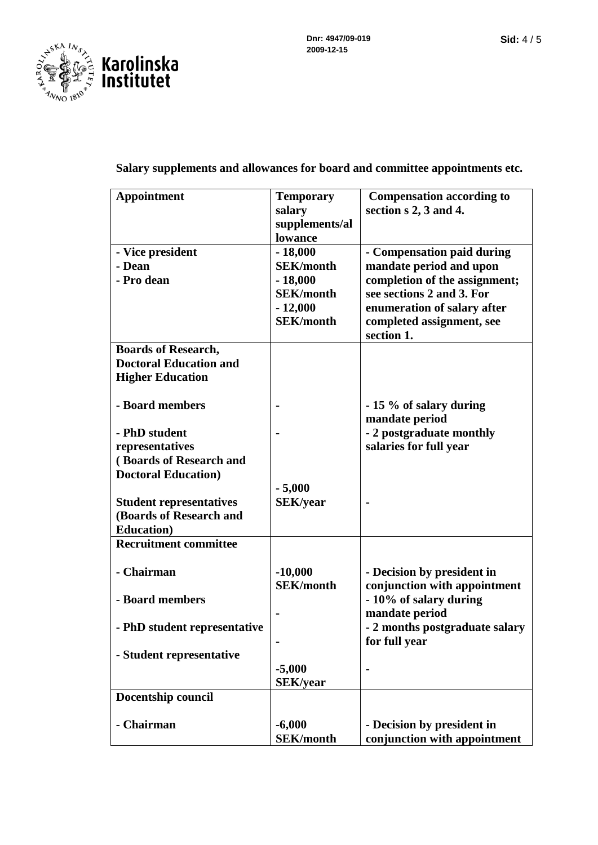

#### **Salary supplements and allowances for board and committee appointments etc.**

| <b>Appointment</b>             | <b>Temporary</b> | <b>Compensation according to</b> |
|--------------------------------|------------------|----------------------------------|
|                                | salary           | section s 2, 3 and 4.            |
|                                | supplements/al   |                                  |
|                                | lowance          |                                  |
| - Vice president               | $-18,000$        | - Compensation paid during       |
| - Dean                         | <b>SEK/month</b> | mandate period and upon          |
| - Pro dean                     | $-18,000$        | completion of the assignment;    |
|                                | <b>SEK/month</b> | see sections 2 and 3. For        |
|                                | $-12,000$        | enumeration of salary after      |
|                                | <b>SEK/month</b> | completed assignment, see        |
|                                |                  | section 1.                       |
| <b>Boards of Research,</b>     |                  |                                  |
| <b>Doctoral Education and</b>  |                  |                                  |
| <b>Higher Education</b>        |                  |                                  |
|                                |                  |                                  |
| - Board members                |                  | - 15 % of salary during          |
|                                |                  | mandate period                   |
| - PhD student                  |                  | - 2 postgraduate monthly         |
| representatives                |                  | salaries for full year           |
| (Boards of Research and        |                  |                                  |
| <b>Doctoral Education</b> )    |                  |                                  |
|                                | $-5,000$         |                                  |
| <b>Student representatives</b> | <b>SEK/year</b>  |                                  |
| (Boards of Research and        |                  |                                  |
| <b>Education</b> )             |                  |                                  |
| <b>Recruitment committee</b>   |                  |                                  |
|                                |                  |                                  |
| - Chairman                     | $-10,000$        | - Decision by president in       |
|                                | <b>SEK/month</b> | conjunction with appointment     |
| - Board members                |                  | - 10% of salary during           |
|                                |                  | mandate period                   |
| - PhD student representative   |                  | - 2 months postgraduate salary   |
|                                |                  | for full year                    |
| - Student representative       |                  |                                  |
|                                | $-5,000$         | $\blacksquare$                   |
|                                | <b>SEK/year</b>  |                                  |
| Docentship council             |                  |                                  |
|                                |                  |                                  |
| - Chairman                     | $-6,000$         | - Decision by president in       |
|                                | <b>SEK/month</b> | conjunction with appointment     |
|                                |                  |                                  |